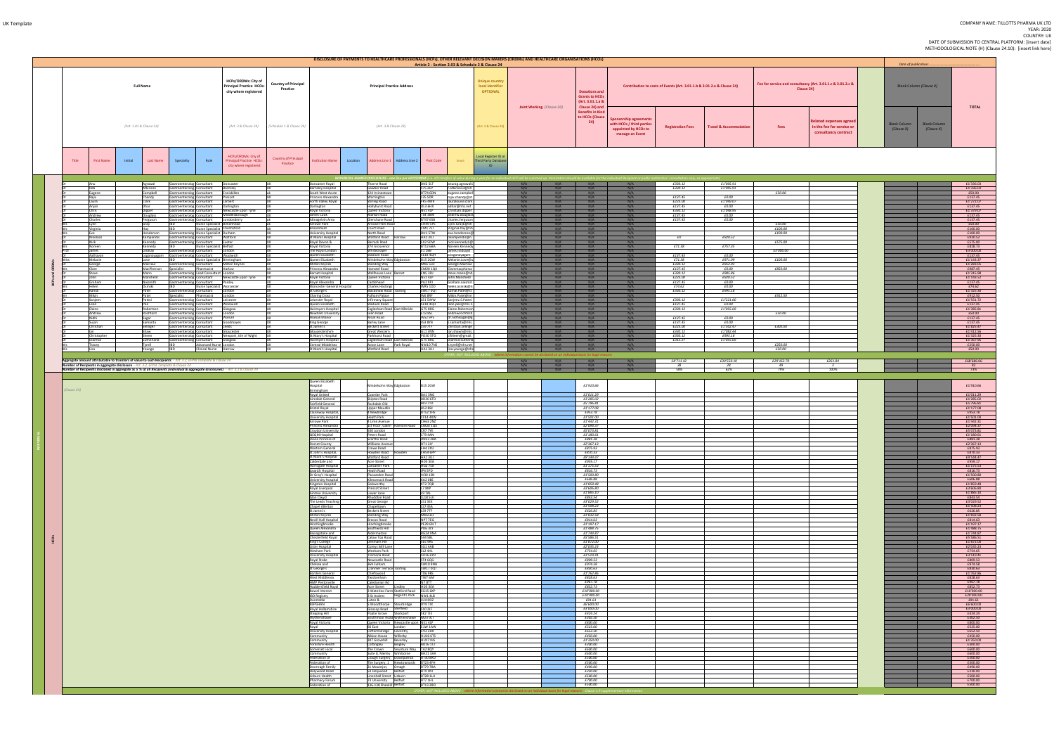|            |                             |                                                                                                                                                                                                             |                                                                                                |                                                                                                                                  |                                         |                                                                    | DISCLOSURE OF PAYMENTS TO HEALTHCARE PROFESSIONALS (HCPs), OTHER RELEVANT DECISION MAKERS (ORDMs) AND HEALTHCARE ORGANISATIONS (HCOs) |                                                          |                                                         |                                                                       |                           |                   |                                                                                                                |                                                                                                      |                                                                        |                                   |                    |                                                                                     | Date of publicatio.                                                    |                                          |
|------------|-----------------------------|-------------------------------------------------------------------------------------------------------------------------------------------------------------------------------------------------------------|------------------------------------------------------------------------------------------------|----------------------------------------------------------------------------------------------------------------------------------|-----------------------------------------|--------------------------------------------------------------------|---------------------------------------------------------------------------------------------------------------------------------------|----------------------------------------------------------|---------------------------------------------------------|-----------------------------------------------------------------------|---------------------------|-------------------|----------------------------------------------------------------------------------------------------------------|------------------------------------------------------------------------------------------------------|------------------------------------------------------------------------|-----------------------------------|--------------------|-------------------------------------------------------------------------------------|------------------------------------------------------------------------|------------------------------------------|
|            |                             | <b>Full Name</b>                                                                                                                                                                                            |                                                                                                | HCPs/ORDMs: City of<br><b>Principal Practice HCOs:</b><br>city where registered                                                  | <b>Country of Principal</b><br>Practice |                                                                    | <b>Principal Practice Address</b>                                                                                                     |                                                          | Article 2 - Section 2.03 & Schedule 2 & Clause 24       | Unique country<br>local identifier<br><b>OPTIONAL</b>                 | Joint Working (Clause 20) |                   | <b>Donations and</b><br><b>Grants to HCOs</b><br>(Art. 3.01.1.a 8<br>Clause 24) and<br><b>Benefits in Kind</b> |                                                                                                      | Contribution to costs of Events (Art. 3.01.1.b & 3.01.2.a & Clause 24) |                                   |                    | Fee for service and consultancy (Art. 3.01.1.c & 3.01.2.c &<br>Clause 24)           | Blank Column (Clause X)                                                | <b>TOTA</b>                              |
|            |                             | (Art. 1.01 & Clause 24)                                                                                                                                                                                     |                                                                                                | (Art. 3 & Clause 24)                                                                                                             | (Schedule 1 & Clause 24)                |                                                                    | (Art. 3 & Clause 24)                                                                                                                  |                                                          |                                                         | Art. 3 & Clause 24                                                    |                           |                   | to HCOs (Clause<br>24)                                                                                         | <b>Sponsorship agreement</b><br>with HCOs / third partie:<br>appointed by HCOs to<br>manage an Event | <b>Registration Fees</b>                                               | <b>Travel &amp; Accommodation</b> | <b>Fees</b>        | <b>Related expenses agreed</b><br>in the fee for service or<br>consultancy contract | <b>Blank Column</b><br><b>Blank Column</b><br>(Clause X)<br>(Clause X) |                                          |
| Title      | <b>First Name</b>           | Initial<br><b>Last Name</b>                                                                                                                                                                                 | Speciality                                                                                     | HCPs/ORDMs: City of<br>Role<br><b>Principal Practice HCOs:</b><br>city where registered                                          | Country of Principal<br>Practice        | nstitution Name<br>Location                                        | Address Line 1 Address Line 2<br>INDIVIDUAL NAMED DISCLOSURE - one line per HCP/ORDM (i.e. all transfers of value duri                | <b>Post Code</b>                                         | Email                                                   | Local Register ID or<br>Third Party Database<br>ID<br>a year for an i |                           |                   |                                                                                                                |                                                                                                      |                                                                        |                                   |                    |                                                                                     |                                                                        |                                          |
|            |                             | Agrawal                                                                                                                                                                                                     | Gastroenterolog Consultant Doncaster                                                           |                                                                                                                                  | ШК                                      | Doncaster Royal                                                    | Thorne Road                                                                                                                           | <b>S75 2EP</b>                                           | anurag.agrawal1                                         |                                                                       | N/A<br>N/A                |                   | N/A<br>N/A                                                                                                     | N/A                                                                                                  | £330.12<br>£330.12                                                     | £1'005.91<br>£1'005.91            |                    |                                                                                     |                                                                        | £1'336.03<br>£1'336.03                   |
|            | Rob<br>Eugene<br>Rajiv      | Atkinson<br>Campbell<br>Chandy                                                                                                                                                                              | Gastroenterolog Consultant<br>Gastroenterolog Consultant<br>Gastroenterolog Consultant         | Barnsley<br>Enniskillen<br>Prescot                                                                                               |                                         | <b>Barnsley Hospital</b><br>South West Acute<br>rincess Alexandra  | Gawber Road<br>124 Irvinestown<br>Warrington                                                                                          | BT74 6DN<br><b>L35 5DR</b>                               | r.atkinson3@nh<br>eugene.campbel<br>rajiv.chandy@st     |                                                                       | N/A<br>N/A                | N/A<br>N/A        | N/A<br>N/A                                                                                                     | N/A<br>N/A                                                                                           | £137.45                                                                | £0.00                             | £50.00             |                                                                                     |                                                                        | £50.00<br>£137.45                        |
|            | Laura<br>Anjan              | Clark<br>Dhar                                                                                                                                                                                               | Gastroenterolog Consultant<br>Gastroenterolog Consultant Darlington                            | Larbert                                                                                                                          |                                         | Forth Valley Royal<br>Darlington                                   | <b>Stirling Road</b><br>Hollyhurst Road                                                                                               | FK5 4WR<br>XHA F IO                                      | lauralouise.clark<br>adhar@nhs.net                      |                                                                       | N/A<br>N/A                | N/A<br>N/A        | N/A<br>N/A                                                                                                     | N/A<br>N/A                                                                                           | £223.00<br>£137.45                                                     | £1'049.07<br>£0.00                |                    |                                                                                     |                                                                        | £1'272.07<br>£137.45                     |
|            | Chris<br>Andrew             | Dipper<br>Douglass                                                                                                                                                                                          | Gastroenterolog Consultant<br>Gastroenterolog Consultant                                       | Newcastle upon Tyne<br>Middlesborough                                                                                            | шк                                      | Royal Victoria<br>James Cook                                       | Queen Victoria<br>Marton Road                                                                                                         | NE14LP<br><b>TS4 3BW</b>                                 | Christian.dipper<br>andrew.douglass                     |                                                                       | N/A<br>N/A                | N/A               | N/A<br>N/A                                                                                                     | N/A<br>N/A                                                                                           | £330.12<br>£137.45                                                     | £1'048.95<br>£0.00                |                    |                                                                                     |                                                                        | £1'379.07<br>£137.45                     |
|            | Charles<br>Lynn             | Ferguson<br>Gray                                                                                                                                                                                            | Gastroenterolog Consultant                                                                     | Londonderry<br>Nurse Specialist Birkenhead                                                                                       |                                         | Altnagelvin Area<br>Arrowe Park<br>Broomfield                      | Glenshane Road<br>Arrowe Park Road<br>Court Road                                                                                      | <b>BT47 6SB</b><br>CH49 SPE<br>CM17ET                    | charles.ferguson<br>Lynn.Gray6@nh                       |                                                                       | N/A<br>N/A                | N/A<br>N/A<br>N/A | N/A<br>N/A<br>N/A                                                                                              | N/A<br>N/A<br>N/A                                                                                    | £137.45                                                                | £0.00                             | £50.00             |                                                                                     |                                                                        | £137.45<br>£50.00                        |
|            | Virginia<br>Eve<br>Nikolaos | Hay<br>Henderson                                                                                                                                                                                            | Gastroenterolog Nurse Specialist Durham<br>Kamperidis Gastroenterolog Consultant Watford       | Nurse Specialist Chelmsford                                                                                                      |                                         | Universiry Hospital<br>St Marks Hospital                           | North Road<br>Watford Road Harrow                                                                                                     | DH1 5TW<br>HA1 3UJ                                       | Virginia.hay@nh<br>eve.henderson@<br>nkamperidis@n      |                                                                       | N/A<br>N/A<br>N/A         | N/A<br>N/A        | N/A<br>N/A                                                                                                     | N/A<br>N/A                                                                                           | £O                                                                     | £920.52                           | £100.00<br>£100.00 |                                                                                     |                                                                        | £100.00<br>£100.00<br>£920.52            |
|            | <b>Nick</b><br>Noreen       | Kennedy<br>Kennedy                                                                                                                                                                                          | Gastroenterolog Consultant<br><b>IBD</b>                                                       | Exeter<br>Nurse Specialist Belfast                                                                                               |                                         | Royal Devon &<br>Royal Victoria                                    | Barrack Road<br>274 Grosvenor                                                                                                         | X2 5DW<br>BT12 6BA                                       | nick.kennedy1@<br>Noreen.Kenned                         |                                                                       | N/A<br>N/A                | N/A<br>N/A        | N/A<br>N/A                                                                                                     | N/A<br>N/A                                                                                           | £71.38                                                                 | £757.35                           | £575.00            |                                                                                     |                                                                        | £575.00<br>£828.73                       |
|            | James<br>Aathavan           | Lindsay                                                                                                                                                                                                     | Gastroenterolog Consultant London<br>Loganayagam Gastroenterolog Consultant                    | Woolwich                                                                                                                         |                                         | The Royal London<br>Queen Elizabeth                                | Whitechapel<br>Stadium Road                                                                                                           | 1 1 BB<br><b>SE18 4QH</b>                                | james.lindsav8<br>i.loganayagam                         |                                                                       | N/A<br>N/A                | N/A               | N/A<br>N/A                                                                                                     | N/A<br>N/A                                                                                           | £137.45                                                                | £0.00                             | £3'000.00          |                                                                                     |                                                                        | £3'000.00<br>£137.45                     |
|            | Melanie<br>George           | Love<br>MacFaul                                                                                                                                                                                             |                                                                                                | Nurse Specialist Birmingham<br>Gastroenterolog Consultant Milton Keynes                                                          |                                         | Queen Elizabeth<br>Milton Keynes                                   | Mindelsohn Way Edgbaston<br><b>Standing Way</b>                                                                                       | <b>B15 2GW</b><br>MK6 5LD                                | Melanie.Love@<br>George.Macfaul                         |                                                                       | N/A<br>N/A                | N/A<br>N/A        | N/A<br>N/A                                                                                                     | N/A<br>N/A                                                                                           | £71.38<br>£330.12                                                      | £971.99<br>£952.93                | £100.00            |                                                                                     |                                                                        | £1'143.37<br>£1'283.05                   |
|            | Clare<br>Steve              | Mann<br>Mansfield                                                                                                                                                                                           | MacPherson Specialist<br>Gastroenterolog Lead Consultant London                                | Pharmacist Harlow<br>Gastroenterolog Consultant Newcastle upon Tyne                                                              |                                         | Princess Alexandra<br><b>Barnet Hsopital</b><br>Royal Victoria     | Hamstel Road<br>Wellhouse Lane Barnet<br>Queen Victoria                                                                               | CM20 10X<br>EN5 3DJ<br>NE14LP                            | Claremacpherso<br>steve.mann@nh<br>John.Mansfield       |                                                                       | N/A<br>N/A<br>N/A         | N/A<br>N/A<br>N/A | N/A<br>N/A<br>N/A                                                                                              | N/A<br>N/A<br>N/A                                                                                    | £137.45<br>£330.12<br>£223.00                                          | £0.00<br>£985.86<br>£920.52       | £850.00            |                                                                                     |                                                                        | £987.45<br>£1'315.98<br>£1'143.52        |
|            | Graham<br>Helen             | Naismith<br>Osinski                                                                                                                                                                                         | Gastroenterolog Consultant Paisley<br><b>IBD</b>                                               | Nurse Specialist Worcester                                                                                                       |                                         | Royal Alexandra<br><b>Worcester General Hospital</b>               | Castlehead<br><b>Charles Hastings</b>                                                                                                 | PA2 9PJ<br>WR5 1DD                                       | Graham.naismit<br>helen.osinski@r                       |                                                                       | N/A<br>N/A                | N/A               | N/A<br>N/A                                                                                                     | N/A                                                                                                  | £137.45<br>£74.62                                                      | £0.00<br>£0.00                    |                    |                                                                                     |                                                                        | £137.45<br>£74.62                        |
|            | Kamal<br>Mikin              | Patel<br>Patel                                                                                                                                                                                              | Gastroenterolog Consultant London<br>Pharmacist<br>Specialist                                  | London                                                                                                                           |                                         | St George's<br>Charing Cross                                       | Blackshaw Road To<br>Fulham Palace                                                                                                    | SW1700<br>W6 8RF                                         | Kamal.Patel@st<br>Mikin.Patel@im                        |                                                                       | N/A<br>N/A                | N/A<br>N/A        | N/A<br>N/A                                                                                                     | N/A<br>N/A                                                                                           | £330.12                                                                | £995.18                           | £912.50            |                                                                                     |                                                                        | £1'325.30<br>£912.50                     |
|            | Sanjeev<br>Leon             | Pattni<br>Pee                                                                                                                                                                                               | Gastroenterolog Consultant Leicester<br>Gastroenterolog Consultant Woolwich                    |                                                                                                                                  | <b>IUK</b><br><b>UK</b>                 | Leicester Royal<br>Queen Elizabeth                                 | <b>Infirmary Square</b><br>Stadium Road                                                                                               | LE1 5WW<br><b>SE18 4QH</b>                               | Sanjeev.S.Pattni<br>leon.pee@nhs.n                      |                                                                       | N/A<br>N/A                | N/A<br>N/A        | N/A<br>N/A                                                                                                     | N/A<br>N/A                                                                                           | £330.12<br>£137.45                                                     | £1′221.60<br>£0.00                |                    |                                                                                     |                                                                        | £1'551.72<br>£137.45                     |
|            | Elaine<br>Andrew<br>Nidhi   | Robertson<br>Rochford<br>Sagar                                                                                                                                                                              | Gastroenterolog Consultant Glasgow<br>Gastroenterolog Consultant<br>Gastroenterolog Consultant | London<br>Walsall                                                                                                                | <b>IIK</b>                              | Hairmyers Hospital<br>Newham University<br>Walsall Manor           | Eaglesham Road East Kilbrid<br>Glen Road<br>Moat Road                                                                                 | G75 8RG<br>E13 8SL<br>WS2 9PS                            | Elaine.Roberts<br>andrewrochford<br>dr.nidhisagar@g     |                                                                       | N/A<br>N/A<br>N/A         | N/A<br>N/A<br>N/A | N/A<br>N/A<br>N/A                                                                                              | N/A<br>N/A<br>N/A                                                                                    | £330.12<br>£137.45                                                     | £1'055.69<br>£0.00                | £50.00             |                                                                                     |                                                                        | £1'385.81<br>£50.00<br>£137.45           |
|            | ujon<br>Christian           | Samanta<br>Selinger                                                                                                                                                                                         | Gastroenterolog Consultant Goodmayes<br>Gastroenterolog Consultant Leeds                       |                                                                                                                                  |                                         | <b>King George</b><br>St James's                                   | <b>Barley Lane</b><br><b>Beckett Street</b>                                                                                           | IG3 8YB<br><b>L59 7TF</b>                                | s.samanta@nhs.<br>christian.selinge                     |                                                                       | N/A<br>N/A                | N/A<br>N/A        | N/A<br>N/A                                                                                                     | N/A<br>N/A                                                                                           | £137.45<br>£223.00                                                     | £0.00<br>£1'302.47                | £300.00            |                                                                                     |                                                                        | £137.45<br>£1'825.47                     |
|            | Christopher                 | Shaw<br>Sheen                                                                                                                                                                                               | Gastroenterolog Consultant                                                                     | Gloucester<br>Gastroenterolog Consultant Newport, Isle of Wight                                                                  |                                         | Gloucestershire<br>St Mary's Hospital                              | Great Western<br>Parkhurst Road                                                                                                       | GL1 3NN<br>PO30 5TG                                      | lan.shaw5@nhs.<br>cl54een@gmail.                        |                                                                       | N/A<br>N/A                | N/A<br>N/A        | N/A<br>N/A                                                                                                     | N/A<br>N/A                                                                                           | £330.12<br>£330.12                                                     | £1'082.44<br>£995.18              |                    |                                                                                     |                                                                        | £1'412.56<br>£1'325.30                   |
|            | Diarmid<br>Tracey<br>Lisa   | Sutherland<br>Tyrell<br>Younge                                                                                                                                                                              | Gastroenterolog Consultant Glasgow<br><b>IBD</b><br><b>IBD</b>                                 | Advanced Nurse London<br>Clinical Nurse Harrow                                                                                   | ШК                                      | Hairmyers Hospital<br>Central Middelsex<br>St Mark's Hospital      | Eaglesham Road East Kilbride<br>Acton Lane Park Royal<br>Watford Road                                                                 | G75 8RG<br><b>NW107NS</b><br>HA1 3UJ                     | Diarmid.Sutherla<br>t.tyrell@nhs.net<br>lisa.younge@nhs |                                                                       | N/A<br>N/A<br>N/A         | N/A<br>N/A<br>N/A | N/A<br>N/A                                                                                                     | N/A<br>N/A                                                                                           | £312.27                                                                | £1'055.69                         | £250.00<br>£50.00  |                                                                                     |                                                                        | £1'367.96<br>£250.00<br>£50.00           |
|            |                             |                                                                                                                                                                                                             |                                                                                                |                                                                                                                                  |                                         |                                                                    |                                                                                                                                       |                                                          | DTHER, NOT INCLUDED ABOVE - whel                        |                                                                       |                           | N/A               | N/A                                                                                                            |                                                                                                      | £8'711.42                                                              | £30'550.10                        | £29'162.70         | £261.84                                                                             |                                                                        | £68'686.06                               |
|            |                             | Aggregate amount attributable to transfers of value to such Recipients - Art. 3.2, EFPIA Template & Clause 24<br><b>lumber of Recipients in aggregate disclosure</b> - Art. 3.2, EFPIA Template & Clause 24 |                                                                                                | Number of Recipients disclosed in aggregate as a % of all Recipients (individual & aggregate disclosures) - Art. 3.2 & Clause 24 |                                         |                                                                    |                                                                                                                                       |                                                          |                                                         |                                                                       | N/A                       | N/A               | N/A                                                                                                            | N/A                                                                                                  | -38                                                                    | -28<br>62%                        | -49<br>79%         |                                                                                     |                                                                        | 82                                       |
|            |                             |                                                                                                                                                                                                             |                                                                                                |                                                                                                                                  |                                         | Queen Elizabeth                                                    |                                                                                                                                       |                                                          |                                                         |                                                                       |                           |                   |                                                                                                                |                                                                                                      |                                                                        |                                   |                    |                                                                                     |                                                                        |                                          |
| Clause 24) |                             |                                                                                                                                                                                                             |                                                                                                |                                                                                                                                  |                                         | Hospital<br>Birmingham                                             | Mindelsohn Way Edgbaston                                                                                                              | <b>B15 2GW</b>                                           |                                                         |                                                                       |                           |                   | £1'910.66                                                                                                      |                                                                                                      |                                                                        |                                   |                    |                                                                                     |                                                                        | £1'910.66                                |
|            |                             |                                                                                                                                                                                                             |                                                                                                |                                                                                                                                  |                                         | Royal United<br>Airedale General<br>Fairfield General              | Coombe Park<br>Skipton Road<br>Rochdale Old                                                                                           | BA1 3NG<br><b>BD20 6TD</b><br>BL9 7TD                    |                                                         |                                                                       |                           |                   | £1'011.29<br>£1'285.02<br>£5'796.81                                                                            |                                                                                                      |                                                                        |                                   |                    |                                                                                     |                                                                        | £1'011.29<br>£1'285.02<br>£5'796.81      |
|            |                             |                                                                                                                                                                                                             |                                                                                                |                                                                                                                                  |                                         | <b>Bristol Royal</b><br>Causeway Hospital,                         | Upper Maudlin<br>4 Newbridge                                                                                                          | <b>B52 8BL</b><br><b>BT52 1HS</b>                        |                                                         |                                                                       |                           |                   | £1′177.08<br>£953.78                                                                                           |                                                                                                      |                                                                        |                                   |                    |                                                                                     |                                                                        | £1'177.08<br>£953.78                     |
|            |                             |                                                                                                                                                                                                             |                                                                                                |                                                                                                                                  |                                         | <b>University Hospital</b><br><b>Arrowe Park</b>                   | Heath Park<br>4 Lime Avenue                                                                                                           | CF14 4XW<br><b>CH63 2NZ</b>                              |                                                         |                                                                       |                           |                   | £1'501.00<br>£1'442.31                                                                                         |                                                                                                      |                                                                        |                                   |                    |                                                                                     |                                                                        | £1'501.00<br>£1'442.31                   |
|            |                             |                                                                                                                                                                                                             |                                                                                                |                                                                                                                                  |                                         | Princess Alexandra<br>Croydon University                           | 1st Floor, Galen Ha<br>530 London                                                                                                     | mstel Road CM20 1QX<br>CR7 7YE<br>CT9 4AN                |                                                         |                                                                       |                           |                   | £2'094.37<br>£5'073.81                                                                                         |                                                                                                      |                                                                        |                                   |                    |                                                                                     |                                                                        | £2'094.37<br>£5'073.81<br>£1'180.61      |
|            |                             |                                                                                                                                                                                                             |                                                                                                |                                                                                                                                  |                                         | <b>QEQM Hospital</b><br>Diana Princess of<br>Dorset County         | Peters Road<br>Scartho Road<br><b>Williams Avenue</b>                                                                                 | <b>DN33 2BA</b><br>DT1 2JY                               |                                                         |                                                                       |                           |                   | £1'180.61<br>£881.38<br>£2'367.13                                                                              |                                                                                                      |                                                                        |                                   |                    |                                                                                     |                                                                        | £881.38<br>£2'367.13                     |
|            |                             |                                                                                                                                                                                                             |                                                                                                |                                                                                                                                  |                                         | Western General<br>St John's Hospital,                             | Crewe Road<br>Howden Road Howder                                                                                                      | EH4 2XU<br>EH54 6PP                                      |                                                         |                                                                       |                           |                   | £875.93                                                                                                        |                                                                                                      |                                                                        |                                   |                    |                                                                                     |                                                                        | £875.93<br>5870 B.E                      |
|            |                             |                                                                                                                                                                                                             |                                                                                                |                                                                                                                                  |                                         | St Mark's Hospital<br>Calderdale and                               | Watford Road<br><b>Acre Street</b>                                                                                                    | HA13UJ<br>HD3 3EA<br><b>HG2 7SX</b>                      |                                                         |                                                                       |                           |                   | £9'144.47<br>£959.17                                                                                           |                                                                                                      |                                                                        |                                   |                    |                                                                                     |                                                                        | £9'144.47<br>£959.17                     |
|            |                             |                                                                                                                                                                                                             |                                                                                                |                                                                                                                                  |                                         | Harrogate Hospital<br>Ipswich Hospital<br>Dr Gray's Hospital       | Lancaster Park<br><b>Heath Road</b><br>Pluscarden Road                                                                                | IP4 5PD<br><b>IV30 1SN</b>                               |                                                         |                                                                       |                           |                   | £1′175.53<br>£816.73<br>£1′500.80                                                                              |                                                                                                      |                                                                        |                                   |                    |                                                                                     |                                                                        | £1'175.53<br>£816.73<br>£1'500.80        |
|            |                             |                                                                                                                                                                                                             |                                                                                                |                                                                                                                                  |                                         | <b>University Hospital</b><br>Kingston Hospital                    | Kilmarnock Road<br>Galsworthy                                                                                                         | KA2 OBE<br>KT2 7QB                                       |                                                         |                                                                       |                           |                   | £606.88<br>£1'859.48                                                                                           |                                                                                                      |                                                                        |                                   |                    |                                                                                     |                                                                        | £606.88<br>£1'859.48                     |
|            |                             |                                                                                                                                                                                                             |                                                                                                |                                                                                                                                  |                                         | Royal Liverpool<br>Aintree University                              | <b>Prescot Street</b><br>Lower Lane                                                                                                   | L7 8XP<br>L9 7AL                                         |                                                         |                                                                       |                           |                   | £3'606.80<br>£1'885.10                                                                                         |                                                                                                      |                                                                        |                                   |                    |                                                                                     |                                                                        | £3'606.80<br>£1'885.10                   |
|            |                             |                                                                                                                                                                                                             |                                                                                                |                                                                                                                                  |                                         | Glan Clwyd<br>The Leeds Teaching<br>Chapel Allerton                | Rhuddlan Road<br><b>Great George</b><br>Chapeltown                                                                                    | LL18 5UJ<br>LS1 3EX<br><b>LS7 4SA</b>                    |                                                         |                                                                       |                           |                   | £843.54<br>£3'029.52<br>£1'508.23                                                                              |                                                                                                      |                                                                        |                                   |                    |                                                                                     |                                                                        | £843.54<br>£3'029.52<br>£1'508.23        |
|            |                             |                                                                                                                                                                                                             |                                                                                                |                                                                                                                                  |                                         | St James's<br>Milton Keynes                                        | <b>Beckett Street</b><br><b>Standing Way</b>                                                                                          | <b>LS9 7TF</b><br>MK65LD                                 |                                                         |                                                                       |                           |                   | £626.85<br>£1'832.58                                                                                           |                                                                                                      |                                                                        |                                   |                    |                                                                                     |                                                                        | £626.85<br>£1'832.58                     |
|            |                             |                                                                                                                                                                                                             |                                                                                                |                                                                                                                                  |                                         | Nevill Hall Hospital<br>Hinchingbrooke                             | Brecon Road<br>Hinchingbrooke                                                                                                         | NP77EG<br>PE29 6N T                                      |                                                         |                                                                       |                           |                   | £814.63<br>£1'197.17<br>£1'488.75                                                                              |                                                                                                      |                                                                        |                                   |                    |                                                                                     |                                                                        | £814.63<br>£1'197.17<br>£1'488.75        |
|            |                             |                                                                                                                                                                                                             |                                                                                                |                                                                                                                                  |                                         | Queen Alexandra<br><b>Basingstoke and</b><br>Chesterfield Royal    | Southwick Hill<br>Aldermaston<br>Calow Top Road                                                                                       | PO6 3LY<br>RG24 9NA<br><b>S44 5BL</b>                    |                                                         |                                                                       |                           |                   | £1'744.87<br>£5'586.51                                                                                         |                                                                                                      |                                                                        |                                   |                    |                                                                                     |                                                                        | £1'744.87<br>£5'586.51                   |
|            |                             |                                                                                                                                                                                                             |                                                                                                |                                                                                                                                  |                                         | King's College<br>Lister Hospital                                  | Denmark Hill<br>Coreys Mill Lane                                                                                                      | SE5 9RS<br>SG1 4AB                                       |                                                         |                                                                       |                           |                   | £1'872.00<br>£2'035.23                                                                                         |                                                                                                      |                                                                        |                                   |                    |                                                                                     |                                                                        | £1'872.00<br>£2'035.23                   |
|            |                             |                                                                                                                                                                                                             |                                                                                                |                                                                                                                                  |                                         | Wexham Park<br><b>University Hospital</b>                          | Wexham Park<br>Tremona Road                                                                                                           | SL2 4HL<br>SO16 6YD                                      |                                                         |                                                                       |                           |                   | £754.65<br>£3'519.41                                                                                           |                                                                                                      |                                                                        |                                   |                    |                                                                                     |                                                                        | £754.65<br>£3'519.41                     |
|            |                             |                                                                                                                                                                                                             |                                                                                                |                                                                                                                                  |                                         | Royal Stoke<br>Chelsea and                                         | Newcastle Road<br>369 Fulham<br>Cranmer Terrace To                                                                                    | ST4 6QG<br><b>SW10 9NH</b><br>SW17 0QT                   |                                                         |                                                                       |                           |                   | £809.53<br>£974.58<br>£830.63                                                                                  |                                                                                                      |                                                                        |                                   |                    |                                                                                     |                                                                        | £809.53<br>£974.58<br>£830.63            |
|            |                             |                                                                                                                                                                                                             |                                                                                                |                                                                                                                                  |                                         | St George's<br>Borders General<br><b>West Middlesex</b>            | oting<br>Chiefswood<br>Twickenham                                                                                                     | <b>TD6 9BS</b><br>TW7 6AF                                |                                                         |                                                                       |                           |                   | £1'762.86<br>£828.63                                                                                           |                                                                                                      |                                                                        |                                   |                    |                                                                                     |                                                                        | £1'762.86<br>£828.63                     |
|            |                             |                                                                                                                                                                                                             |                                                                                                |                                                                                                                                  |                                         | <b>HMP Pentonville</b><br>Huddersfield Royal                       | Caledonian Rd<br>Acre Street Lindley                                                                                                  | N7 8TT<br>HD3 3EA                                        |                                                         |                                                                       |                           |                   | £967.78<br>£852.73                                                                                             |                                                                                                      |                                                                        |                                   |                    |                                                                                     |                                                                        | £967.78<br>£852.73                       |
|            |                             |                                                                                                                                                                                                             |                                                                                                |                                                                                                                                  |                                         | <b>Bowel Interest</b><br><b>IBD Registry</b>                       | 3 Waterloo Farm Stotford Raod SG15 6XP<br>3 St Andres Regent's Park NW1 4LB                                                           |                                                          |                                                         |                                                                       |                           |                   | £10'000.00<br>£20'000.00<br>£91.61                                                                             |                                                                                                      |                                                                        |                                   |                    |                                                                                     |                                                                        | £10'000.00<br>£20'000.00<br>£91.61       |
|            |                             |                                                                                                                                                                                                             |                                                                                                |                                                                                                                                  |                                         | Dunstable<br><b>BSPGHAN</b><br>Royal Hallamshire                   | Luton &<br>5 Woodthorpe Stourbridge<br>Glossop Road Sheffield                                                                         | LUA ODZ<br>DY9 7JX<br>S10 2JF                            |                                                         |                                                                       |                           |                   | £6'600.00<br>£3'000.00                                                                                         |                                                                                                      |                                                                        |                                   |                    |                                                                                     |                                                                        | £6'600.00<br>£3'000.00                   |
|            |                             |                                                                                                                                                                                                             |                                                                                                |                                                                                                                                  |                                         | <b>Stepping Hill</b><br>Wythenshawe                                | Poplar Grove Stockport SK2 7JE<br>Southmoor Road Wythenshawe M23 9LT                                                                  |                                                          |                                                         |                                                                       |                           |                   | £424.24<br>£302.50                                                                                             |                                                                                                      |                                                                        |                                   |                    |                                                                                     |                                                                        | £424.24<br>£302.50                       |
|            |                             |                                                                                                                                                                                                             |                                                                                                |                                                                                                                                  |                                         | Royal Victoria<br>Royal                                            | Queen Victoria Newcastle upon NE1 4LP<br>66 East London                                                                               | <b>E1W 1AW</b>                                           |                                                         |                                                                       |                           |                   | £800.00<br>£525.00                                                                                             |                                                                                                      |                                                                        |                                   |                    |                                                                                     |                                                                        | £800.00<br>£525.00                       |
|            |                             |                                                                                                                                                                                                             |                                                                                                |                                                                                                                                  |                                         | <b>University Hospital</b><br>Community<br>Community               | Clifford Bridge Coventry CV2 2DX<br>Albion House Willerby<br>307 Grovehill Beverley                                                   | HU106T5                                                  |                                                         |                                                                       |                           |                   | £652.50<br>£450.00<br>£1'350.00                                                                                |                                                                                                      |                                                                        |                                   |                    |                                                                                     |                                                                        | £652.50<br>£450.00<br>£1'350.00          |
|            |                             |                                                                                                                                                                                                             |                                                                                                |                                                                                                                                  |                                         | Yorkshire Health<br>Somerset Local                                 | Cottingley Bingley<br>The Crown Veunture Way TA2 8QY                                                                                  | HU17 0JS<br>BD16 1TZ                                     |                                                         |                                                                       |                           |                   | £300.00<br>£600.00                                                                                             |                                                                                                      |                                                                        |                                   |                    |                                                                                     |                                                                        | £300.00<br>£600.00                       |
|            |                             |                                                                                                                                                                                                             |                                                                                                |                                                                                                                                  |                                         | Community                                                          |                                                                                                                                       |                                                          |                                                         |                                                                       |                           |                   | £600.00                                                                                                        |                                                                                                      |                                                                        |                                   |                    |                                                                                     |                                                                        | £600.00<br>£500.00                       |
|            |                             |                                                                                                                                                                                                             |                                                                                                |                                                                                                                                  |                                         | Federation of                                                      | Suite 8, Merley Wimborne BH21 3AA<br>Clough Surgery, Downpatrick BT30 8RD                                                             |                                                          |                                                         |                                                                       |                           |                   | £500.00                                                                                                        |                                                                                                      |                                                                        |                                   |                    |                                                                                     |                                                                        |                                          |
|            |                             |                                                                                                                                                                                                             |                                                                                                |                                                                                                                                  |                                         | Federation of<br>Drumragh Family                                   | The Surgery, 1 Newtownards BT23 4FH<br>1 Mountjoy Omagh                                                                               | <b>BT79 7BA</b>                                          |                                                         |                                                                       |                           |                   | £500.00<br>£490.00                                                                                             |                                                                                                      |                                                                        |                                   |                    |                                                                                     |                                                                        | $£500.00$<br>£490.00                     |
|            |                             |                                                                                                                                                                                                             |                                                                                                |                                                                                                                                  |                                         | Holywood Road<br>Lisburn Health<br>Pharmacy Forum<br>Federation of | 54 Holywood Belfast<br>Linenhall Street Lisburn<br>73 University Belfast<br>136-138 Shankill Belfast                                  | <b>BT4 1NT</b><br><b>BT28 1LU</b><br>BT7 1HL<br>BT13 2BD |                                                         |                                                                       |                           |                   | £230.00<br>£500.00<br>£700.00<br>£500.00                                                                       |                                                                                                      |                                                                        |                                   |                    |                                                                                     |                                                                        | £230.00<br>£500.00<br>£700.00<br>£500.00 |

COMPANY NAME: TILLOTTS PHARMA UK LTD<br>YEAR: 2020<br>COUNTRY: UK<br>DATE OF SUBMISSION TO CENTRAL PLATFORM: [insert date]<br>METHODOLOGICAL NOTE (H) (Clause 24.10): [insert link here]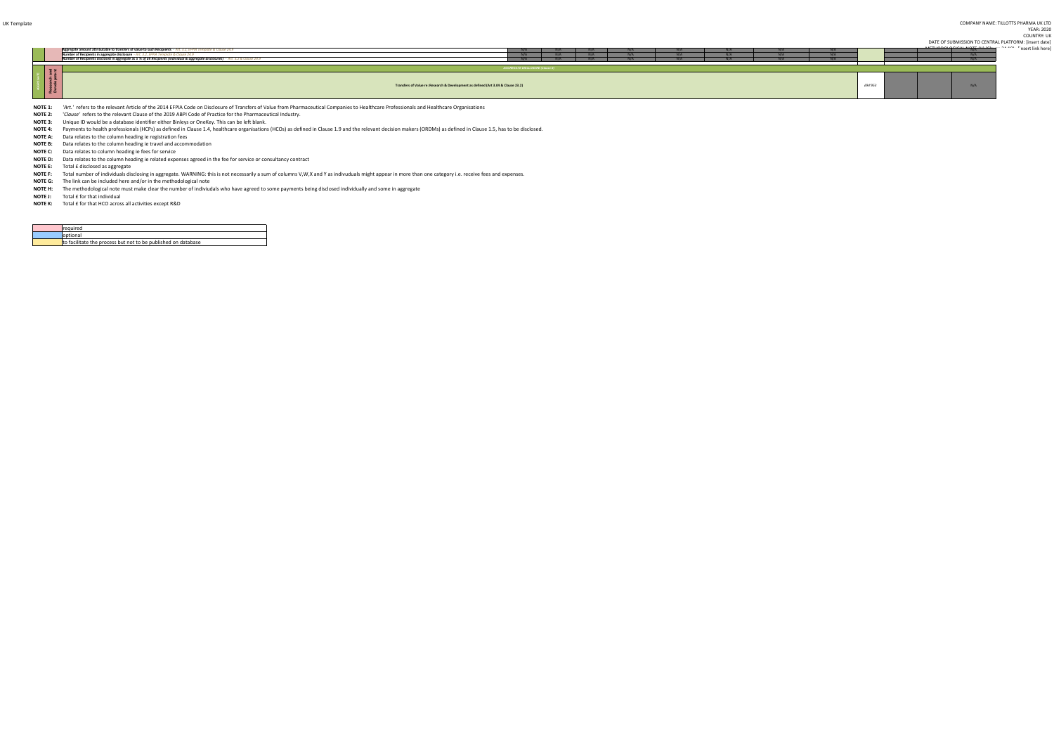UK Template COMPANY NAME: TILLOTTS PHARMA UK LTDYEAR: 2020 COUNTRY: UK

> DATE OF SUBMISSION TO CENTRAL PLATFORM: [insert date]ment link herel

Payments to health professionals (HCPs) as defined in Clause 1.4, healthcare organisations (HCOs) as defined in Clause 1.9 and the relevant decision makers (ORDMs) as defined in Clause 1.5, has to be disclosed. **NOTE 4:** Payments to health professionals (HCPs) as defined in Clause 1.4, healthcare organisation

**NOTE A:** Data relates to the column heading ie registration fees

*'Art.'* refers to the relevant Article of the 2014 EFPIA Code on Disclosure of Transfers of Value from Pharmaceutical Companies to Healthcare Professionals and Healthcare Organisations **NOTE 1:**

|                             | Aggregate amount attributable to transfers of value to such Recipients - Art. 3.2, EFPIA Template & Clause 24.9<br>Number of Recipients in aggregate disclosure - Art. 3.2, EFPIA Ten.<br>mplate & Clause 24.9<br>Number of Recipients disclosed in aggregate as a % of all Recipients (individual & aggregate disclosures) - Art. 3.2 & Clause 24.9 |                                        | $N/\Delta$ | N/A<br>$N/\Delta$ |  | N/A |         | insert link here was a more than the contract of the "insert link here" |  |
|-----------------------------|------------------------------------------------------------------------------------------------------------------------------------------------------------------------------------------------------------------------------------------------------------------------------------------------------------------------------------------------------|----------------------------------------|------------|-------------------|--|-----|---------|-------------------------------------------------------------------------|--|
| Research and<br>Development |                                                                                                                                                                                                                                                                                                                                                      | <b>AGGREGATE DISCLOSURE (Clause X)</b> |            |                   |  |     |         |                                                                         |  |
|                             | Transfers of Value re: Research & Development as defined (Art 3.04 & Clause 23.2)                                                                                                                                                                                                                                                                    |                                        |            |                   |  |     | £94'953 |                                                                         |  |

**NOTE 2:**'*Clause'* refers to the relevant Clause of the 2019 ABPI Code of Practice for the Pharmaceutical Industry.

 Total number of individuals disclosing in aggregate. WARNING: this is not necessarily a sum of columns V,W,X and Y as indivuduals might appear in more than one category i.e. receive fees and expenses.**NOTE F:**

**NOTE J:** Total £ for that individual

**NOTE K:** Total £ for that HCO across all activities except R&D

| <b>Irequired</b>                                              |
|---------------------------------------------------------------|
| loptional                                                     |
| to facilitate the process but not to be published on database |

**NOTE H:** The methodological note must make clear the number of indiviudals who have agreed to some payments being disclosed individually and some in aggregate

**NOTE 3:**Unique ID would be a database identifier either Binleys or OneKey. This can be left blank.

 Data relates to the column heading ie related expenses agreed in the fee for service or consultancy contract **NOTE D:**

**NOTE E:** Total £ disclosed as aggregate

The link can be included here and/or in the methodological note**NOTE G:**

Data relates to the column heading ie travel and accommodation **NOTE B:**

**NOTE C:** Data relates to column heading ie fees for service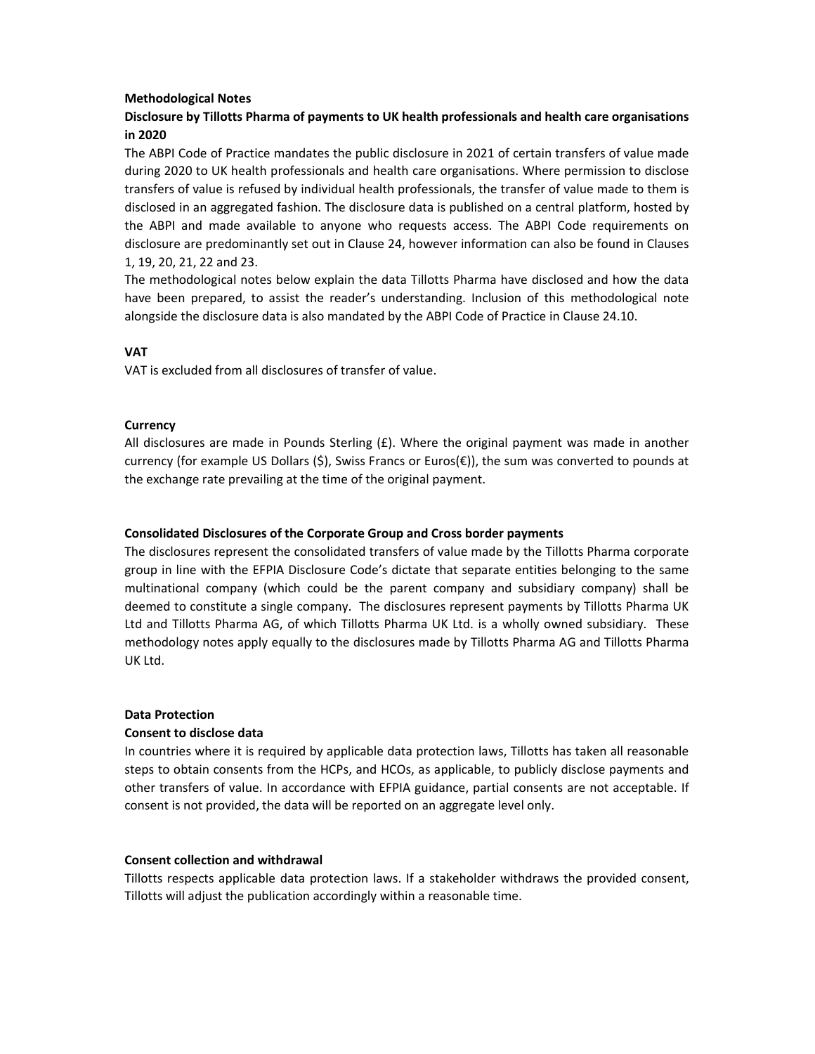#### **Methodological Notes**

# **Disclosure by Tillotts Pharma of payments to UK health professionals and health care organisations in 2020**

The ABPI Code of Practice mandates the public disclosure in 2021 of certain transfers of value made during 2020 to UK health professionals and health care organisations. Where permission to disclose transfers of value is refused by individual health professionals, the transfer of value made to them is disclosed in an aggregated fashion. The disclosure data is published on a central platform, hosted by the ABPI and made available to anyone who requests access. The ABPI Code requirements on disclosure are predominantly set out in Clause 24, however information can also be found in Clauses 1, 19, 20, 21, 22 and 23.

The methodological notes below explain the data Tillotts Pharma have disclosed and how the data have been prepared, to assist the reader's understanding. Inclusion of this methodological note alongside the disclosure data is also mandated by the ABPI Code of Practice in Clause 24.10.

## **VAT**

VAT is excluded from all disclosures of transfer of value.

## **Currency**

All disclosures are made in Pounds Sterling  $(E)$ . Where the original payment was made in another currency (for example US Dollars (\$), Swiss Francs or Euros(€)), the sum was converted to pounds at the exchange rate prevailing at the time of the original payment.

## **Consolidated Disclosures of the Corporate Group and Cross border payments**

The disclosures represent the consolidated transfers of value made by the Tillotts Pharma corporate group in line with the EFPIA Disclosure Code's dictate that separate entities belonging to the same multinational company (which could be the parent company and subsidiary company) shall be deemed to constitute a single company. The disclosures represent payments by Tillotts Pharma UK Ltd and Tillotts Pharma AG, of which Tillotts Pharma UK Ltd. is a wholly owned subsidiary. These methodology notes apply equally to the disclosures made by Tillotts Pharma AG and Tillotts Pharma UK Ltd.

## **Data Protection**

## **Consent to disclose data**

In countries where it is required by applicable data protection laws, Tillotts has taken all reasonable steps to obtain consents from the HCPs, and HCOs, as applicable, to publicly disclose payments and other transfers of value. In accordance with EFPIA guidance, partial consents are not acceptable. If consent is not provided, the data will be reported on an aggregate level only.

## **Consent collection and withdrawal**

Tillotts respects applicable data protection laws. If a stakeholder withdraws the provided consent, Tillotts will adjust the publication accordingly within a reasonable time.